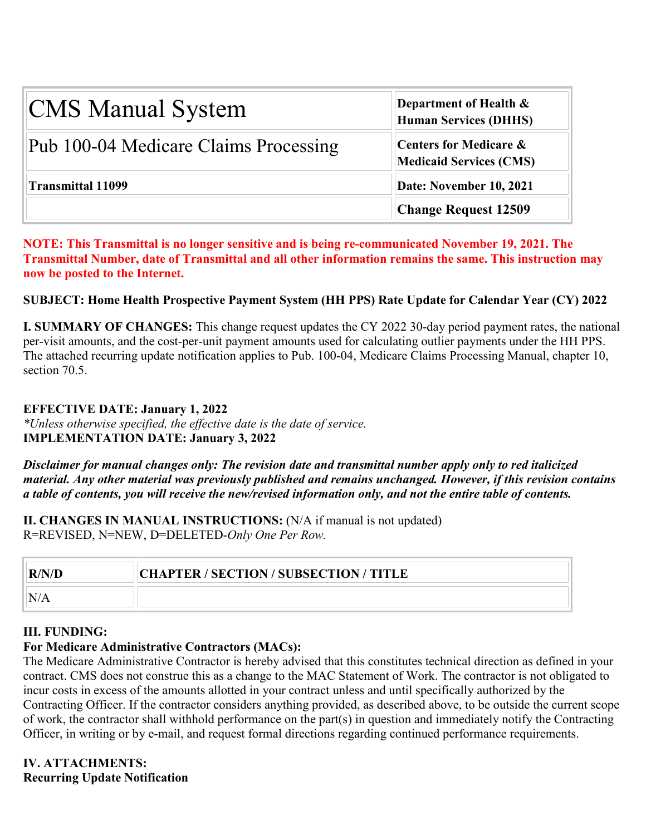| <b>CMS Manual System</b>              | Department of Health &<br><b>Human Services (DHHS)</b>   |  |  |
|---------------------------------------|----------------------------------------------------------|--|--|
| Pub 100-04 Medicare Claims Processing | Centers for Medicare &<br><b>Medicaid Services (CMS)</b> |  |  |
| <b>Transmittal 11099</b>              | Date: November 10, 2021                                  |  |  |
|                                       | <b>Change Request 12509</b>                              |  |  |

**NOTE: This Transmittal is no longer sensitive and is being re-communicated November 19, 2021. The Transmittal Number, date of Transmittal and all other information remains the same. This instruction may now be posted to the Internet.**

## **SUBJECT: Home Health Prospective Payment System (HH PPS) Rate Update for Calendar Year (CY) 2022**

**I. SUMMARY OF CHANGES:** This change request updates the CY 2022 30-day period payment rates, the national per-visit amounts, and the cost-per-unit payment amounts used for calculating outlier payments under the HH PPS. The attached recurring update notification applies to Pub. 100-04, Medicare Claims Processing Manual, chapter 10, section 70.5.

## **EFFECTIVE DATE: January 1, 2022**

*\*Unless otherwise specified, the effective date is the date of service.* **IMPLEMENTATION DATE: January 3, 2022**

*Disclaimer for manual changes only: The revision date and transmittal number apply only to red italicized material. Any other material was previously published and remains unchanged. However, if this revision contains a table of contents, you will receive the new/revised information only, and not the entire table of contents.*

II. CHANGES IN MANUAL INSTRUCTIONS: (N/A if manual is not updated) R=REVISED, N=NEW, D=DELETED-*Only One Per Row.*

| R/N/D | <b>CHAPTER / SECTION / SUBSECTION / TITLE</b> |
|-------|-----------------------------------------------|
|       |                                               |

## **III. FUNDING:**

## **For Medicare Administrative Contractors (MACs):**

The Medicare Administrative Contractor is hereby advised that this constitutes technical direction as defined in your contract. CMS does not construe this as a change to the MAC Statement of Work. The contractor is not obligated to incur costs in excess of the amounts allotted in your contract unless and until specifically authorized by the Contracting Officer. If the contractor considers anything provided, as described above, to be outside the current scope of work, the contractor shall withhold performance on the part(s) in question and immediately notify the Contracting Officer, in writing or by e-mail, and request formal directions regarding continued performance requirements.

**IV. ATTACHMENTS: Recurring Update Notification**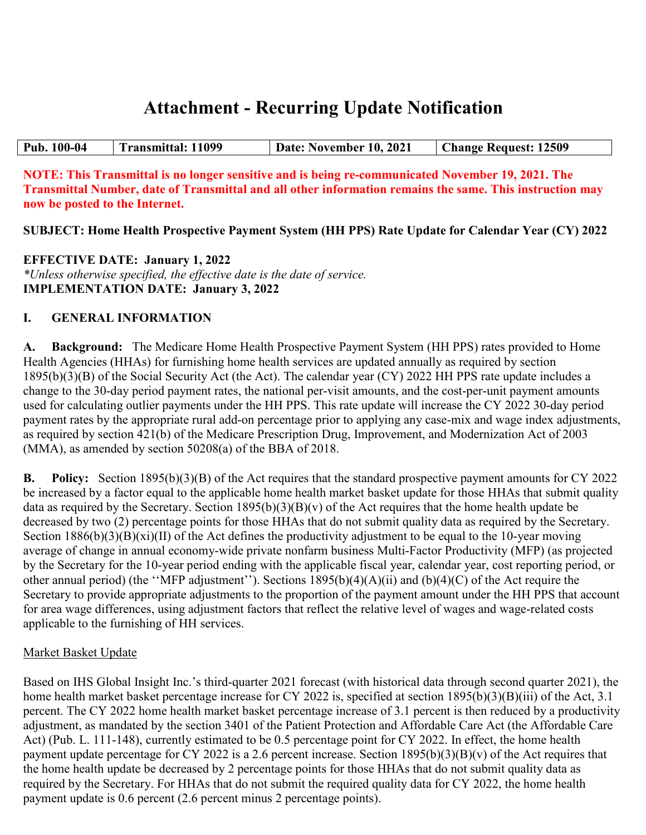# **Attachment - Recurring Update Notification**

| Pub. 100-04 | <b>Transmittal: 11099</b> | Date: November 10, 2021 | <b>Change Request: 12509</b> |
|-------------|---------------------------|-------------------------|------------------------------|

**NOTE: This Transmittal is no longer sensitive and is being re-communicated November 19, 2021. The Transmittal Number, date of Transmittal and all other information remains the same. This instruction may now be posted to the Internet.**

**SUBJECT: Home Health Prospective Payment System (HH PPS) Rate Update for Calendar Year (CY) 2022**

**EFFECTIVE DATE: January 1, 2022** *\*Unless otherwise specified, the effective date is the date of service.* **IMPLEMENTATION DATE: January 3, 2022**

## **I. GENERAL INFORMATION**

**A. Background:** The Medicare Home Health Prospective Payment System (HH PPS) rates provided to Home Health Agencies (HHAs) for furnishing home health services are updated annually as required by section 1895(b)(3)(B) of the Social Security Act (the Act). The calendar year (CY) 2022 HH PPS rate update includes a change to the 30-day period payment rates, the national per-visit amounts, and the cost-per-unit payment amounts used for calculating outlier payments under the HH PPS. This rate update will increase the CY 2022 30-day period payment rates by the appropriate rural add-on percentage prior to applying any case-mix and wage index adjustments, as required by section 421(b) of the Medicare Prescription Drug, Improvement, and Modernization Act of 2003 (MMA), as amended by section 50208(a) of the BBA of 2018.

**B. Policy:** Section 1895(b)(3)(B) of the Act requires that the standard prospective payment amounts for CY 2022 be increased by a factor equal to the applicable home health market basket update for those HHAs that submit quality data as required by the Secretary. Section  $1895(b)(3)(B)(v)$  of the Act requires that the home health update be decreased by two (2) percentage points for those HHAs that do not submit quality data as required by the Secretary. Section  $1886(b)(3)(B)(xi)(II)$  of the Act defines the productivity adjustment to be equal to the 10-year moving average of change in annual economy-wide private nonfarm business Multi-Factor Productivity (MFP) (as projected by the Secretary for the 10-year period ending with the applicable fiscal year, calendar year, cost reporting period, or other annual period) (the ''MFP adjustment''). Sections 1895(b)(4)(A)(ii) and (b)(4)(C) of the Act require the Secretary to provide appropriate adjustments to the proportion of the payment amount under the HH PPS that account for area wage differences, using adjustment factors that reflect the relative level of wages and wage-related costs applicable to the furnishing of HH services.

## Market Basket Update

Based on IHS Global Insight Inc.'s third-quarter 2021 forecast (with historical data through second quarter 2021), the home health market basket percentage increase for CY 2022 is, specified at section 1895(b)(3)(B)(iii) of the Act, 3.1 percent. The CY 2022 home health market basket percentage increase of 3.1 percent is then reduced by a productivity adjustment, as mandated by the section 3401 of the Patient Protection and Affordable Care Act (the Affordable Care Act) (Pub. L. 111-148), currently estimated to be 0.5 percentage point for CY 2022. In effect, the home health payment update percentage for CY 2022 is a 2.6 percent increase. Section  $1895(b)(3)(B)(v)$  of the Act requires that the home health update be decreased by 2 percentage points for those HHAs that do not submit quality data as required by the Secretary. For HHAs that do not submit the required quality data for CY 2022, the home health payment update is 0.6 percent (2.6 percent minus 2 percentage points).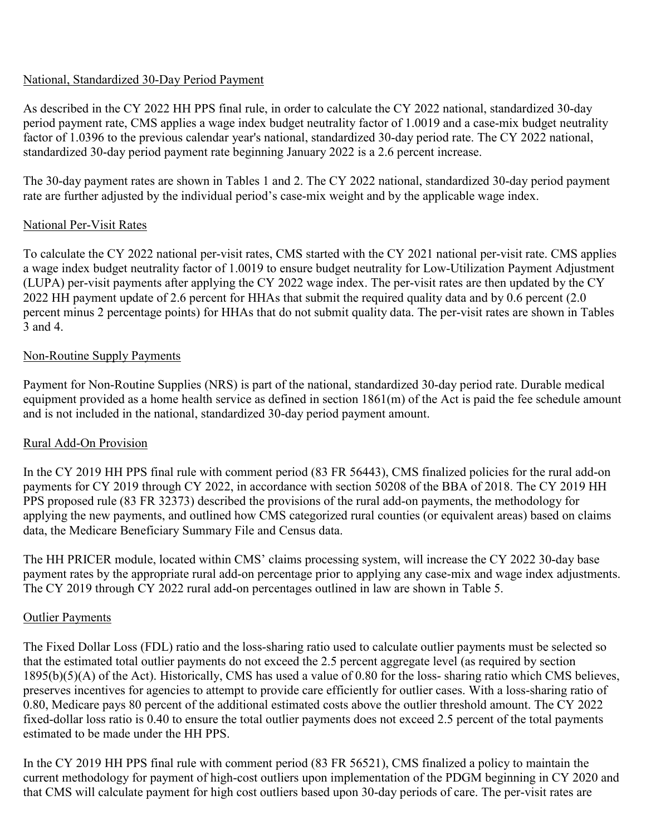## National, Standardized 30-Day Period Payment

As described in the CY 2022 HH PPS final rule, in order to calculate the CY 2022 national, standardized 30-day period payment rate, CMS applies a wage index budget neutrality factor of 1.0019 and a case-mix budget neutrality factor of 1.0396 to the previous calendar year's national, standardized 30-day period rate. The CY 2022 national, standardized 30-day period payment rate beginning January 2022 is a 2.6 percent increase.

The 30-day payment rates are shown in Tables 1 and 2. The CY 2022 national, standardized 30-day period payment rate are further adjusted by the individual period's case-mix weight and by the applicable wage index.

## National Per-Visit Rates

To calculate the CY 2022 national per-visit rates, CMS started with the CY 2021 national per-visit rate. CMS applies a wage index budget neutrality factor of 1.0019 to ensure budget neutrality for Low-Utilization Payment Adjustment (LUPA) per-visit payments after applying the CY 2022 wage index. The per-visit rates are then updated by the CY 2022 HH payment update of 2.6 percent for HHAs that submit the required quality data and by 0.6 percent (2.0 percent minus 2 percentage points) for HHAs that do not submit quality data. The per-visit rates are shown in Tables 3 and 4.

## Non-Routine Supply Payments

Payment for Non-Routine Supplies (NRS) is part of the national, standardized 30-day period rate. Durable medical equipment provided as a home health service as defined in section 1861(m) of the Act is paid the fee schedule amount and is not included in the national, standardized 30-day period payment amount.

## Rural Add-On Provision

In the CY 2019 HH PPS final rule with comment period (83 FR 56443), CMS finalized policies for the rural add-on payments for CY 2019 through CY 2022, in accordance with section 50208 of the BBA of 2018. The CY 2019 HH PPS proposed rule (83 FR 32373) described the provisions of the rural add-on payments, the methodology for applying the new payments, and outlined how CMS categorized rural counties (or equivalent areas) based on claims data, the Medicare Beneficiary Summary File and Census data.

The HH PRICER module, located within CMS' claims processing system, will increase the CY 2022 30-day base payment rates by the appropriate rural add-on percentage prior to applying any case-mix and wage index adjustments. The CY 2019 through CY 2022 rural add-on percentages outlined in law are shown in Table 5.

## Outlier Payments

The Fixed Dollar Loss (FDL) ratio and the loss-sharing ratio used to calculate outlier payments must be selected so that the estimated total outlier payments do not exceed the 2.5 percent aggregate level (as required by section 1895(b)(5)(A) of the Act). Historically, CMS has used a value of 0.80 for the loss- sharing ratio which CMS believes, preserves incentives for agencies to attempt to provide care efficiently for outlier cases. With a loss-sharing ratio of 0.80, Medicare pays 80 percent of the additional estimated costs above the outlier threshold amount. The CY 2022 fixed-dollar loss ratio is 0.40 to ensure the total outlier payments does not exceed 2.5 percent of the total payments estimated to be made under the HH PPS.

In the CY 2019 HH PPS final rule with comment period (83 FR 56521), CMS finalized a policy to maintain the current methodology for payment of high-cost outliers upon implementation of the PDGM beginning in CY 2020 and that CMS will calculate payment for high cost outliers based upon 30-day periods of care. The per-visit rates are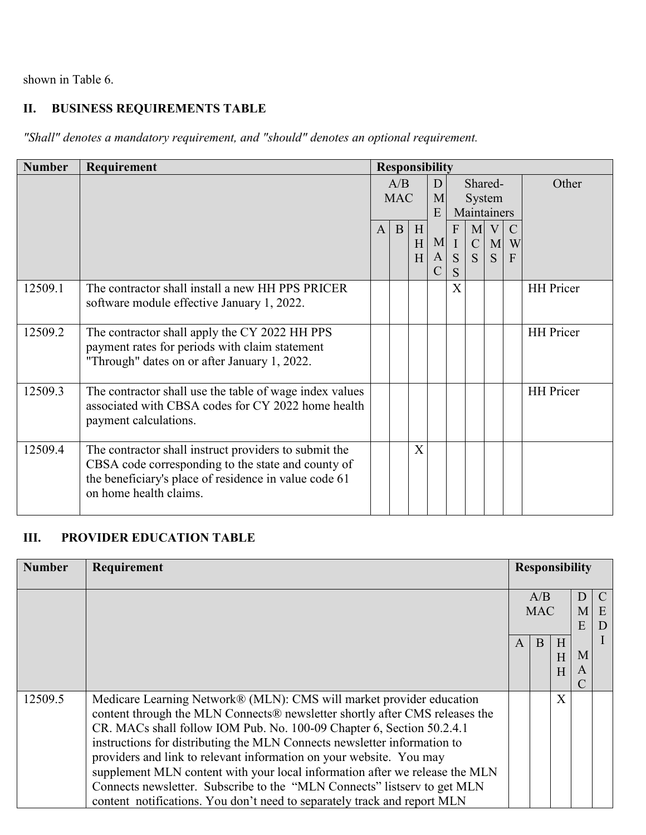shown in Table 6.

## **II. BUSINESS REQUIREMENTS TABLE**

*"Shall" denotes a mandatory requirement, and "should" denotes an optional requirement.*

| <b>Number</b> | Requirement                                                                                                                                                                                    |                   | <b>Responsibility</b> |             |                           |                             |                                  |                 |                                      |                  |  |                                  |  |       |
|---------------|------------------------------------------------------------------------------------------------------------------------------------------------------------------------------------------------|-------------------|-----------------------|-------------|---------------------------|-----------------------------|----------------------------------|-----------------|--------------------------------------|------------------|--|----------------------------------|--|-------|
|               |                                                                                                                                                                                                | A/B<br><b>MAC</b> |                       |             |                           | D<br>M<br>E                 |                                  |                 |                                      |                  |  | Shared-<br>System<br>Maintainers |  | Other |
|               |                                                                                                                                                                                                | $\mathbf{A}$      | B                     | H<br>H<br>H | M<br> A <br>$\mathcal{C}$ | F<br>$\mathbf{I}$<br>S<br>S | $\overline{C}$<br>$\overline{S}$ | $M$ V<br>M<br>S | $\mathcal{C}$<br>W<br>$\overline{F}$ |                  |  |                                  |  |       |
| 12509.1       | The contractor shall install a new HH PPS PRICER<br>software module effective January 1, 2022.                                                                                                 |                   |                       |             |                           | X                           |                                  |                 |                                      | <b>HH</b> Pricer |  |                                  |  |       |
| 12509.2       | The contractor shall apply the CY 2022 HH PPS<br>payment rates for periods with claim statement<br>"Through" dates on or after January 1, 2022.                                                |                   |                       |             |                           |                             |                                  |                 |                                      | <b>HH</b> Pricer |  |                                  |  |       |
| 12509.3       | The contractor shall use the table of wage index values<br>associated with CBSA codes for CY 2022 home health<br>payment calculations.                                                         |                   |                       |             |                           |                             |                                  |                 |                                      | <b>HH</b> Pricer |  |                                  |  |       |
| 12509.4       | The contractor shall instruct providers to submit the<br>CBSA code corresponding to the state and county of<br>the beneficiary's place of residence in value code 61<br>on home health claims. |                   |                       | X           |                           |                             |                                  |                 |                                      |                  |  |                                  |  |       |

## **III. PROVIDER EDUCATION TABLE**

| <b>Number</b> | Requirement                                                                 |              | <b>Responsibility</b> |   |   |   |
|---------------|-----------------------------------------------------------------------------|--------------|-----------------------|---|---|---|
|               |                                                                             |              |                       |   |   |   |
|               |                                                                             |              | A/B                   |   | D |   |
|               |                                                                             |              | <b>MAC</b>            |   | M | E |
|               |                                                                             |              |                       |   | E |   |
|               |                                                                             | $\mathsf{A}$ | B                     | H |   |   |
|               |                                                                             |              |                       | H | M |   |
|               |                                                                             |              |                       | H | A |   |
|               |                                                                             |              |                       |   |   |   |
| 12509.5       | Medicare Learning Network® (MLN): CMS will market provider education        |              |                       | X |   |   |
|               | content through the MLN Connects® newsletter shortly after CMS releases the |              |                       |   |   |   |
|               | CR. MACs shall follow IOM Pub. No. 100-09 Chapter 6, Section 50.2.4.1       |              |                       |   |   |   |
|               | instructions for distributing the MLN Connects newsletter information to    |              |                       |   |   |   |
|               | providers and link to relevant information on your website. You may         |              |                       |   |   |   |
|               | supplement MLN content with your local information after we release the MLN |              |                       |   |   |   |
|               | Connects newsletter. Subscribe to the "MLN Connects" listserv to get MLN    |              |                       |   |   |   |
|               | content notifications. You don't need to separately track and report MLN    |              |                       |   |   |   |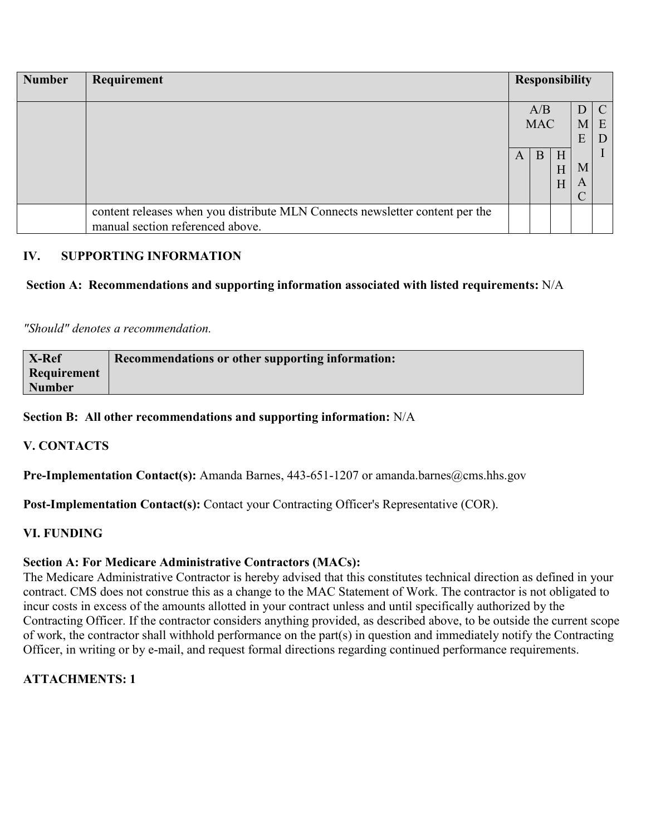| <b>Number</b> | Requirement                                                                                                      |   |                        |             | <b>Responsibility</b>           |             |
|---------------|------------------------------------------------------------------------------------------------------------------|---|------------------------|-------------|---------------------------------|-------------|
|               |                                                                                                                  | A | A/B<br><b>MAC</b><br>B | H<br>H<br>H | M<br>E<br>M<br>$\boldsymbol{A}$ | C<br>E<br>D |
|               | content releases when you distribute MLN Connects newsletter content per the<br>manual section referenced above. |   |                        |             |                                 |             |

## **IV. SUPPORTING INFORMATION**

## **Section A: Recommendations and supporting information associated with listed requirements:** N/A

*"Should" denotes a recommendation.*

| X-Ref         | <b>Recommendations or other supporting information:</b> |
|---------------|---------------------------------------------------------|
| Requirement   |                                                         |
| <b>Number</b> |                                                         |

#### **Section B: All other recommendations and supporting information:** N/A

#### **V. CONTACTS**

Pre-Implementation Contact(s): Amanda Barnes, 443-651-1207 or amanda.barnes@cms.hhs.gov

Post-Implementation Contact(s): Contact your Contracting Officer's Representative (COR).

#### **VI. FUNDING**

#### **Section A: For Medicare Administrative Contractors (MACs):**

The Medicare Administrative Contractor is hereby advised that this constitutes technical direction as defined in your contract. CMS does not construe this as a change to the MAC Statement of Work. The contractor is not obligated to incur costs in excess of the amounts allotted in your contract unless and until specifically authorized by the Contracting Officer. If the contractor considers anything provided, as described above, to be outside the current scope of work, the contractor shall withhold performance on the part(s) in question and immediately notify the Contracting Officer, in writing or by e-mail, and request formal directions regarding continued performance requirements.

## **ATTACHMENTS: 1**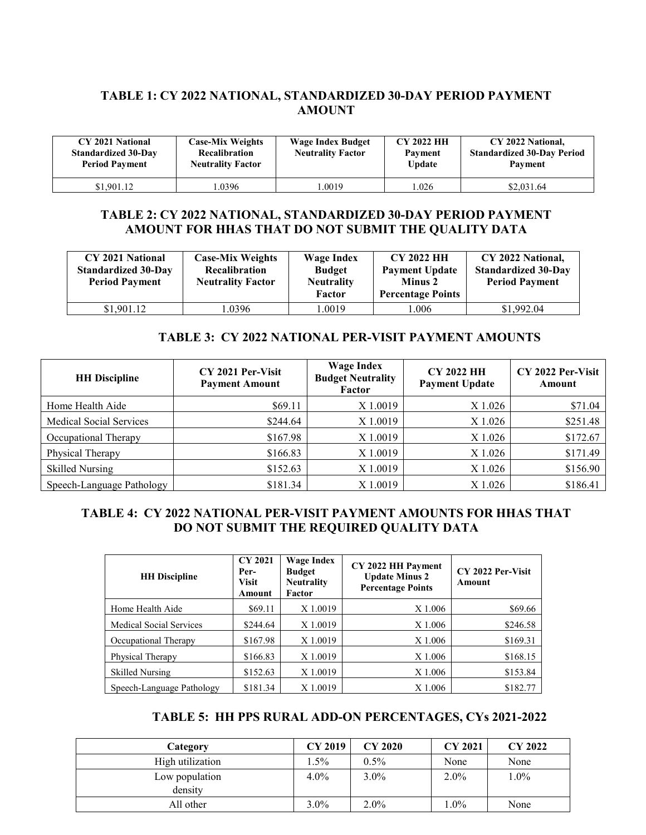## **TABLE 1: CY 2022 NATIONAL, STANDARDIZED 30-DAY PERIOD PAYMENT AMOUNT**

| CY 2021 National<br><b>Standardized 30-Day</b><br><b>Period Payment</b> | <b>Case-Mix Weights</b><br><b>Recalibration</b><br><b>Neutrality Factor</b> | <b>Wage Index Budget</b><br><b>Neutrality Factor</b> | <b>CY 2022 HH</b><br>Payment<br><b>Update</b> | CY 2022 National,<br><b>Standardized 30-Day Period</b><br>Payment |
|-------------------------------------------------------------------------|-----------------------------------------------------------------------------|------------------------------------------------------|-----------------------------------------------|-------------------------------------------------------------------|
| \$1,901.12                                                              | .0396                                                                       | .0019                                                | .026                                          | \$2,031.64                                                        |

#### **TABLE 2: CY 2022 NATIONAL, STANDARDIZED 30-DAY PERIOD PAYMENT AMOUNT FOR HHAS THAT DO NOT SUBMIT THE QUALITY DATA**

| CY 2021 National<br><b>Standardized 30-Day</b><br><b>Period Payment</b> | <b>Case-Mix Weights</b><br>Recalibration<br><b>Neutrality Factor</b> | Wage Index<br><b>Budget</b><br><b>Neutrality</b><br>Factor | <b>CY 2022 HH</b><br><b>Payment Update</b><br>Minus 2<br><b>Percentage Points</b> | CY 2022 National,<br><b>Standardized 30-Day</b><br><b>Period Payment</b> |
|-------------------------------------------------------------------------|----------------------------------------------------------------------|------------------------------------------------------------|-----------------------------------------------------------------------------------|--------------------------------------------------------------------------|
| \$1,901.12                                                              | .0396                                                                | 1.0019                                                     | 1.006                                                                             | \$1,992.04                                                               |

#### **TABLE 3: CY 2022 NATIONAL PER-VISIT PAYMENT AMOUNTS**

| <b>HH</b> Discipline           | CY 2021 Per-Visit<br><b>Payment Amount</b> | <b>Wage Index</b><br><b>Budget Neutrality</b><br>Factor | <b>CY 2022 HH</b><br><b>Payment Update</b> | CY 2022 Per-Visit<br>Amount |
|--------------------------------|--------------------------------------------|---------------------------------------------------------|--------------------------------------------|-----------------------------|
| Home Health Aide               | \$69.11                                    | X 1.0019                                                | X 1.026                                    | \$71.04                     |
| <b>Medical Social Services</b> | \$244.64                                   | X 1.0019                                                | X 1.026                                    | \$251.48                    |
| Occupational Therapy           | \$167.98                                   | X 1.0019                                                | X 1.026                                    | \$172.67                    |
| Physical Therapy               | \$166.83                                   | X 1.0019                                                | X 1.026                                    | \$171.49                    |
| <b>Skilled Nursing</b>         | \$152.63                                   | X 1.0019                                                | X 1.026                                    | \$156.90                    |
| Speech-Language Pathology      | \$181.34                                   | X 1.0019                                                | X 1.026                                    | \$186.41                    |

## **TABLE 4: CY 2022 NATIONAL PER-VISIT PAYMENT AMOUNTS FOR HHAS THAT DO NOT SUBMIT THE REQUIRED QUALITY DATA**

| <b>HH</b> Discipline      | <b>CY 2021</b><br>Per-<br><b>Visit</b><br>Amount | <b>Wage Index</b><br><b>Budget</b><br><b>Neutrality</b><br>Factor | CY 2022 HH Payment<br><b>Update Minus 2</b><br><b>Percentage Points</b> | CY 2022 Per-Visit<br>Amount |
|---------------------------|--------------------------------------------------|-------------------------------------------------------------------|-------------------------------------------------------------------------|-----------------------------|
| Home Health Aide          | \$69.11                                          | X 1.0019                                                          | X 1.006                                                                 | \$69.66                     |
| Medical Social Services   | \$244.64                                         | X 1.0019                                                          | X 1.006                                                                 | \$246.58                    |
| Occupational Therapy      | \$167.98                                         | X 1.0019                                                          | X 1.006                                                                 | \$169.31                    |
| Physical Therapy          | \$166.83                                         | X 1.0019                                                          | X 1.006                                                                 | \$168.15                    |
| <b>Skilled Nursing</b>    | \$152.63                                         | X 1.0019                                                          | X 1.006                                                                 | \$153.84                    |
| Speech-Language Pathology | \$181.34                                         | X 1.0019                                                          | X 1.006                                                                 | \$182.77                    |

#### **TABLE 5: HH PPS RURAL ADD-ON PERCENTAGES, CYs 2021-2022**

| Category                  | <b>CY 2019</b> | <b>CY 2020</b> | <b>CY 2021</b> | CY 2022 |
|---------------------------|----------------|----------------|----------------|---------|
| High utilization          | $1.5\%$        | $0.5\%$        | None           | None    |
| Low population<br>density | $4.0\%$        | $3.0\%$        | $2.0\%$        | $1.0\%$ |
| All other                 | $3.0\%$        | $2.0\%$        | $1.0\%$        | None    |